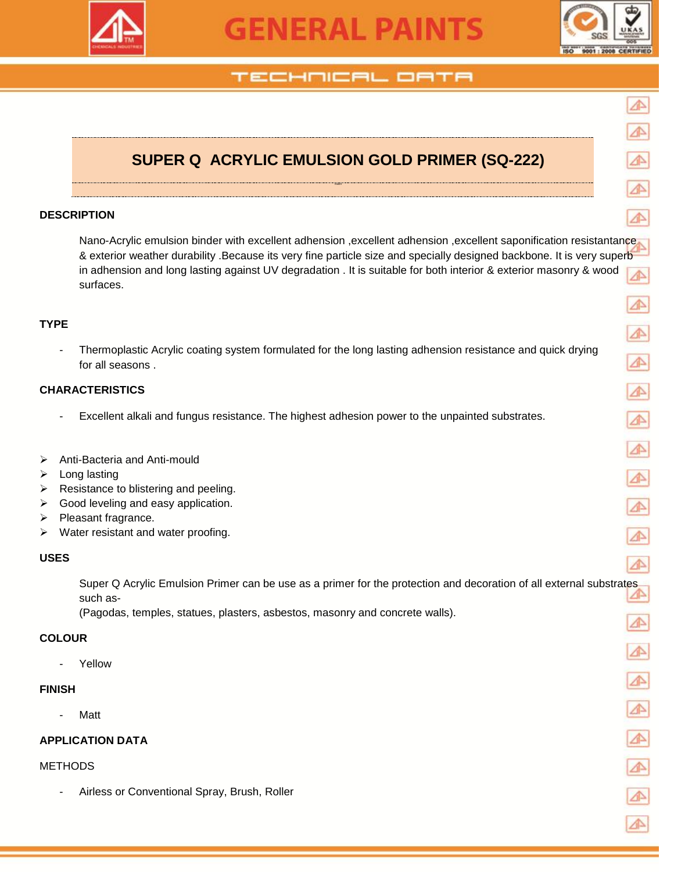

# **GENERAL PAINTS**



# TECHNICAL OATA

# **SUPER Q ACRYLIC EMULSION GOLD PRIMER (SQ-222)**

RIMER

#### **DESCRIPTION**

Nano-Acrylic emulsion binder with excellent adhension , excellent adhension , excellent saponification resistantance & exterior weather durability .Because its very fine particle size and specially designed backbone. It is very superb in adhension and long lasting against UV degradation . It is suitable for both interior & exterior masonry & wood surfaces.

#### **TYPE**

- Thermoplastic Acrylic coating system formulated for the long lasting adhension resistance and quick drying for all seasons .

#### **CHARACTERISTICS**

- Excellent alkali and fungus resistance. The highest adhesion power to the unpainted substrates.
- Anti-Bacteria and Anti-mould
- $\triangleright$  Long lasting
- $\triangleright$  Resistance to blistering and peeling.
- $\triangleright$  Good leveling and easy application.
- $\triangleright$  Pleasant fragrance.
- $\triangleright$  Water resistant and water proofing.

#### **USES**

Super Q Acrylic Emulsion Primer can be use as a primer for the protection and decoration of all external substrates such as-

(Pagodas, temples, statues, plasters, asbestos, masonry and concrete walls).

#### **COLOUR**

**Yellow** 

#### **FINISH**

**Matt** 

#### **APPLICATION DATA**

#### **METHODS**

Airless or Conventional Spray, Brush, Roller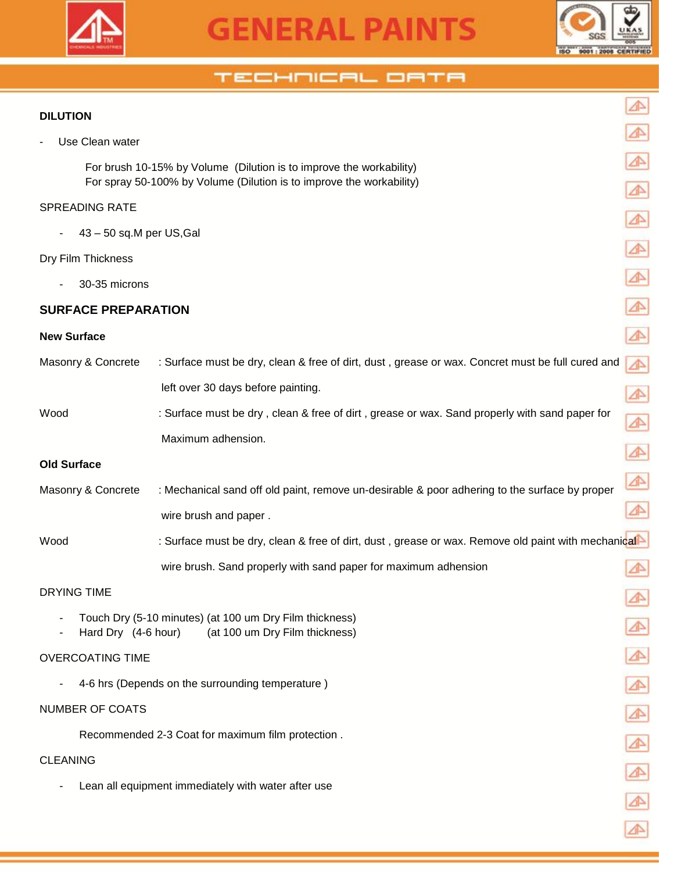



⚠

### TECHNICAL ORTA

#### **DILUTION**

Use Clean water

 For brush 10-15% by Volume (Dilution is to improve the workability) For spray 50-100% by Volume (Dilution is to improve the workability)

#### SPREADING RATE

- 43 – 50 sq.M per US,Gal

#### Dry Film Thickness

30-35 microns

### **SURFACE PREPARATION**

#### **New Surface**

| Masonry & Concrete | : Surface must be dry, clean & free of dirt, dust, grease or wax. Concret must be full cured and   | ⚠ |
|--------------------|----------------------------------------------------------------------------------------------------|---|
|                    | left over 30 days before painting.                                                                 |   |
| Wood               | : Surface must be dry, clean & free of dirt, grease or wax. Sand properly with sand paper for      | ⚠ |
|                    | Maximum adhension.                                                                                 |   |
| <b>Old Surface</b> |                                                                                                    |   |
| Masonry & Concrete | : Mechanical sand off old paint, remove un-desirable & poor adhering to the surface by proper      | ⚠ |
|                    | wire brush and paper.                                                                              |   |
| Wood               | : Surface must be dry, clean & free of dirt, dust, grease or wax. Remove old paint with mechanical |   |
|                    | wire brush. Sand properly with sand paper for maximum adhension                                    |   |
|                    |                                                                                                    |   |

#### DRYING TIME

- Touch Dry (5-10 minutes) (at 100 um Dry Film thickness)
- Hard Dry (4-6 hour) (at 100 um Dry Film thickness)

#### OVERCOATING TIME

4-6 hrs (Depends on the surrounding temperature)

#### NUMBER OF COATS

Recommended 2-3 Coat for maximum film protection .

#### CLEANING

Lean all equipment immediately with water after use